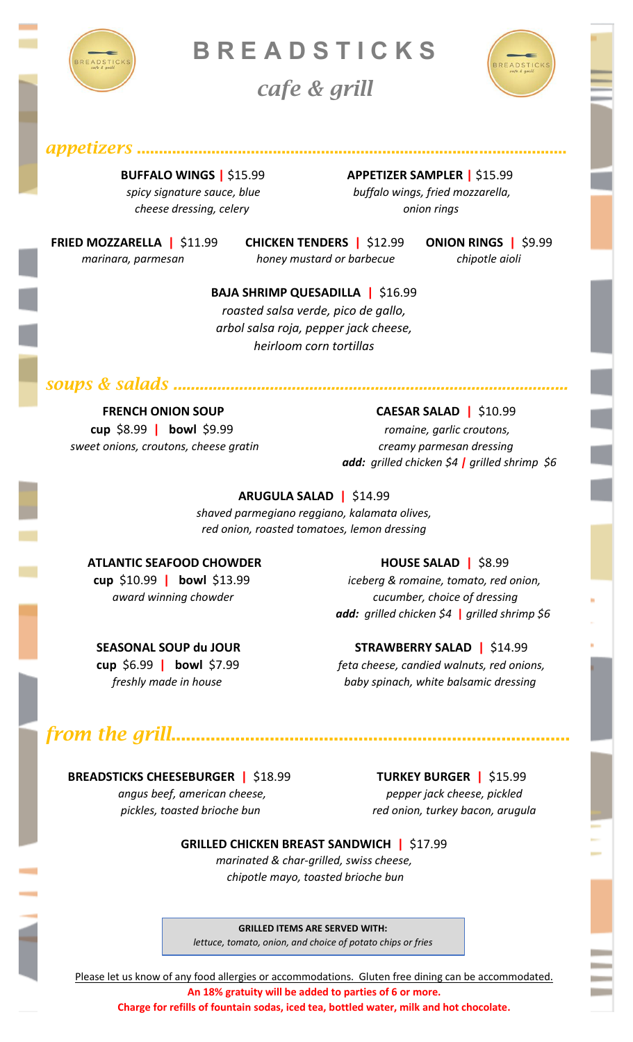

**B R E A D S TI C K S**

*cafe & grill*



*appetizers* ..................................................................................................

*cheese dressing, celery* and the cheese dressing, celery

 **BUFFALO WINGS |** \$15.99 **APPETIZER SAMPLER |** \$15.99 *spicy signature sauce, blue buffalo wings, fried mozzarella,*

 **FRIED MOZZARELLA |** \$11.99 **CHICKEN TENDERS |** \$12.99 **ONION RINGS |** \$9.99

 *marinara, parmesan honey mustard or barbecue chipotle aioli*

j

**BAJA SHRIMP QUESADILLA |** \$16.99

*roasted salsa verde, pico de gallo, arbol salsa roja, pepper jack cheese, heirloom corn tortillas*

*soups & salads ..........................................................................................*

 *sweet onions, croutons, cheese gratin creamy parmesan dressing*

### **FRENCH ONION SOUP CAESAR SALAD | \$10.99**

 **cup** \$8.99 **| bowl** \$9.99 *romaine, garlic croutons, add: grilled chicken \$4 | grilled shrimp \$6*

### **ARUGULA SALAD |** \$14.99

*shaved parmegiano reggiano, kalamata olives, red onion, roasted tomatoes, lemon dressing*

### **ATLANTIC SEAFOOD CHOWDER HOUSE SALAD | \$8.99**

 **cup** \$10.99 **| bowl** \$13.99 *iceberg & romaine, tomato, red onion, award winning chowder cucumber, choice of dressing add: grilled chicken \$4* **|** *grilled shrimp \$6*

### **SEASONAL SOUP du JOUR STRAWBERRY SALAD | \$14.99**

 **cup** \$6.99 **| bowl** \$7.99 *feta cheese, candied walnuts, red onions, freshly made in house baby spinach, white balsamic dressing*

# *from the grill*.................................................................................

 **BREADSTICKS CHEESEBURGER |** \$18.99 **TURKEY BURGER |** \$15.99

 *angus beef, american cheese, pepper jack cheese, pickled* 

 *pickles, toasted brioche bun red onion, turkey bacon, arugula*

#### **GRILLED CHICKEN BREAST SANDWICH |** \$17.99

*marinated & char-grilled, swiss cheese, chipotle mayo, toasted brioche bun*

**GRILLED ITEMS ARE SERVED WITH:**

*lettuce, tomato, onion, and choice of potato chips or fries*

Please let us know of any food allergies or accommodations. Gluten free dining can be accommodated. **An 18% gratuity will be added to parties of 6 or more.**

**Charge for refills of fountain sodas, iced tea, bottled water, milk and hot chocolate.**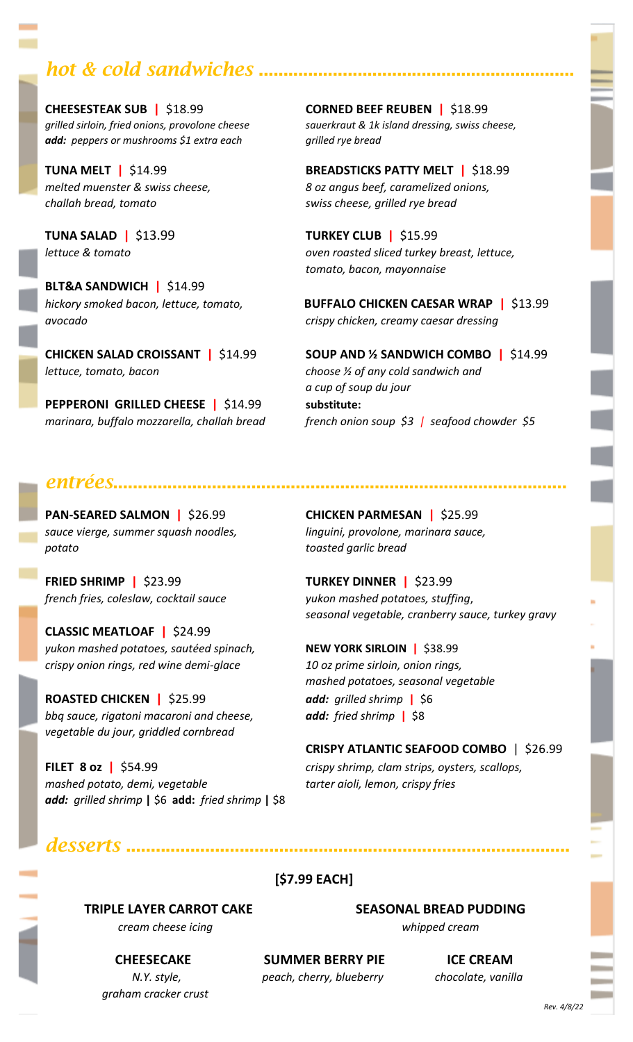## **hot & cold sandwiches ........**

**CHEESESTEAK SUB |** \$18.99 **CORNED BEEF REUBEN |** \$18.99 *add: peppers or mushrooms \$1 extra each grilled rye bread*

*challah bread, tomato swiss cheese, grilled rye bread*

**TUNA SALAD |** \$13.99 **TURKEY CLUB |** \$15.99

**BLT&A SANDWICH |** \$14.99 *avocado crispy chicken, creamy caesar dressing*

*lettuce, tomato, bacon choose ½ of any cold sandwich and*

**PEPPERONI GRILLED CHEESE |** \$14.99 **substitute:**

*grilled sirloin, fried onions, provolone cheese sauerkraut & 1k island dressing, swiss cheese,*

**TUNA MELT |** \$14.99 **BREADSTICKS PATTY MELT |** \$18.99 *melted muenster & swiss cheese, 8 oz angus beef, caramelized onions,*

*lettuce & tomato oven roasted sliced turkey breast, lettuce, tomato, bacon, mayonnaise*

*hickory smoked bacon, lettuce, tomato,* **BUFFALO CHICKEN CAESAR WRAP |** \$13.99

**CHICKEN SALAD CROISSANT |** \$14.99 **SOUP AND ½ SANDWICH COMBO |** \$14.99 *a cup of soup du jour marinara, buffalo mozzarella, challah bread french onion soup \$3 | seafood chowder \$5*

## *entrées*............................................................................................

*sauce vierge, summer squash noodles, linguini, provolone, marinara sauce, potato toasted garlic bread*

**FRIED SHRIMP |** \$23.99 **TURKEY DINNER |** \$23.99 *french fries, coleslaw, cocktail sauce yukon mashed potatoes, stuffing*,

**CLASSIC MEATLOAF |** \$24.99 *yukon mashed potatoes, sautéed spinach,* **NEW YORK SIRLOIN |** \$38.99 *crispy onion rings, red wine demi-glace 10 oz prime sirloin, onion rings,*

**ROASTED CHICKEN |** \$25.99 *add: grilled shrimp* **|**\$6 *bbq sauce, rigatoni macaroni and cheese, add: fried shrimp* **|**\$8 *vegetable du jour, griddled cornbread*

*mashed potato, demi, vegetable tarter aioli, lemon, crispy fries add: grilled shrimp* **|** \$6 **add:** *fried shrimp* **|** \$8

**PAN-SEARED SALMON |** \$26.99 **CHICKEN PARMESAN |** \$25.99

*seasonal vegetable, cranberry sauce, turkey gravy*

*mashed potatoes, seasonal vegetable*

**CRISPY ATLANTIC SEAFOOD COMBO** | \$26.99 **FILET 8 oz |** \$54.99 *crispy shrimp, clam strips, oysters, scallops,*

## *desserts* ..........................................................................................

**[\$7.99 EACH]**

 *cream cheese icing whipped cream*

 **TRIPLE LAYER CARROT CAKE SEASONAL BREAD PUDDING**

 *graham cracker crust*

**CHEESECAKE SUMMER BERRY PIE ICE CREAM**  *N.Y. style, peach, cherry, blueberry**chocolate, vanilla*